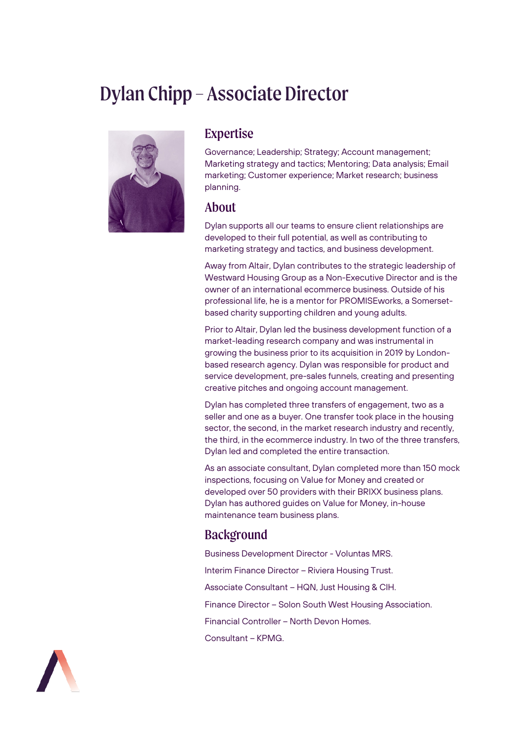# Dylan Chipp –Associate Director



#### Expertise

Governance; Leadership; Strategy; Account management; Marketing strategy and tactics; Mentoring; Data analysis; Email marketing; Customer experience; Market research; business planning.

#### About

Dylan supports all our teams to ensure client relationships are developed to their full potential, as well as contributing to marketing strategy and tactics, and business development.

Away from Altair, Dylan contributes to the strategic leadership of Westward Housing Group as a Non-Executive Director and is the owner of an international ecommerce business. Outside of his professional life, he is a mentor for PROMISEworks, a Somersetbased charity supporting children and young adults.

Prior to Altair, Dylan led the business development function of a market-leading research company and was instrumental in growing the business prior to its acquisition in 2019 by Londonbased research agency. Dylan was responsible for product and service development, pre-sales funnels, creating and presenting creative pitches and ongoing account management.

Dylan has completed three transfers of engagement, two as a seller and one as a buyer. One transfer took place in the housing sector, the second, in the market research industry and recently, the third, in the ecommerce industry. In two of the three transfers, Dylan led and completed the entire transaction.

As an associate consultant, Dylan completed more than 150 mock inspections, focusing on Value for Money and created or developed over 50 providers with their BRIXX business plans. Dylan has authored guides on Value for Money, in-house maintenance team business plans.

### **Background**

Business Development Director - Voluntas MRS.

Interim Finance Director – Riviera Housing Trust.

Associate Consultant – HQN, Just Housing & CIH.

Finance Director – Solon South West Housing Association.

Financial Controller – North Devon Homes.

Consultant – KPMG.